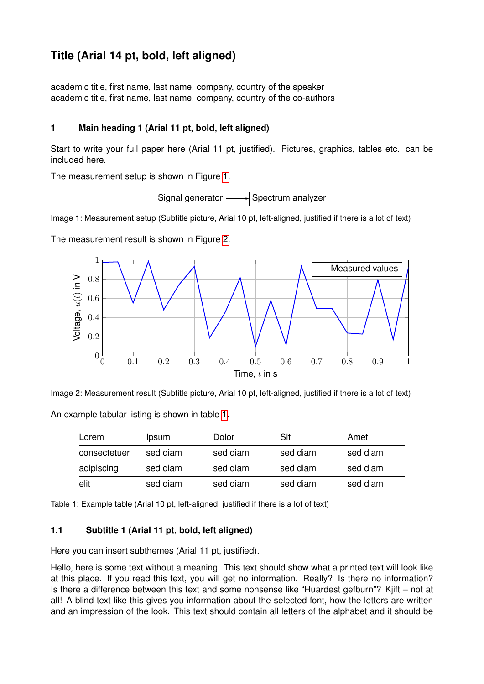## **Title (Arial 14 pt, bold, left aligned)**

academic title, first name, last name, company, country of the speaker academic title, first name, last name, company, country of the co-authors

## **1 Main heading 1 (Arial 11 pt, bold, left aligned)**

Start to write your full paper here (Arial 11 pt, justified). Pictures, graphics, tables etc. can be included here.

<span id="page-0-0"></span>The measurement setup is shown in Figure [1.](#page-0-0)



Image 1: Measurement setup (Subtitle picture, Arial 10 pt, left-aligned, justified if there is a lot of text)

<span id="page-0-1"></span>The measurement result is shown in Figure [2.](#page-0-1)



Image 2: Measurement result (Subtitle picture, Arial 10 pt, left-aligned, justified if there is a lot of text)

| Lorem        | Ipsum    | Dolor    | Sit      | Amet     |
|--------------|----------|----------|----------|----------|
| consectetuer | sed diam | sed diam | sed diam | sed diam |
| adipiscing   | sed diam | sed diam | sed diam | sed diam |
| elit         | sed diam | sed diam | sed diam | sed diam |

<span id="page-0-2"></span>An example tabular listing is shown in table [1.](#page-0-2)

Table 1: Example table (Arial 10 pt, left-aligned, justified if there is a lot of text)

## **1.1 Subtitle 1 (Arial 11 pt, bold, left aligned)**

Here you can insert subthemes (Arial 11 pt, justified).

Hello, here is some text without a meaning. This text should show what a printed text will look like at this place. If you read this text, you will get no information. Really? Is there no information? Is there a difference between this text and some nonsense like "Huardest gefburn"? Kjift – not at all! A blind text like this gives you information about the selected font, how the letters are written and an impression of the look. This text should contain all letters of the alphabet and it should be